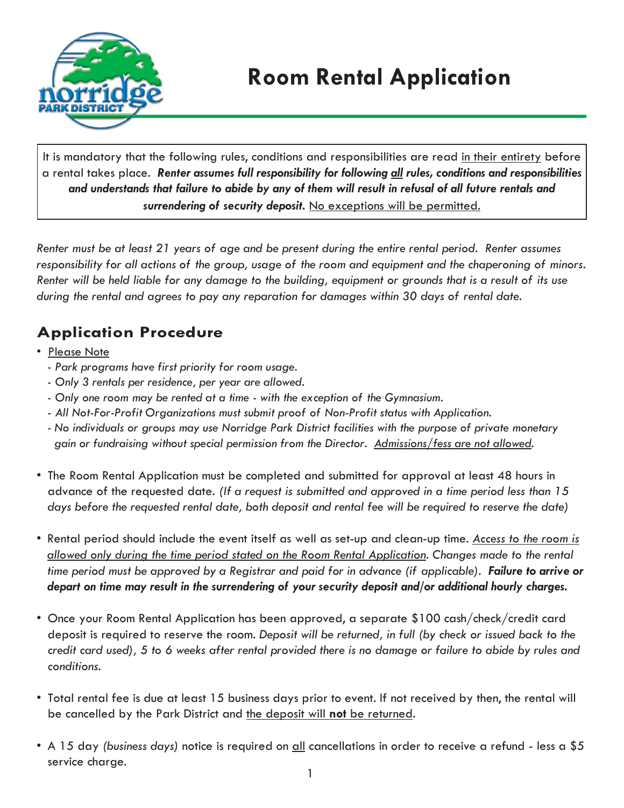

It is mandatory that the following rules, conditions and responsibilities are read in their entirety before a rental takes place. *Renter assumes full responsibility for following all rules, conditions and responsibilities and understands that failure to abide by any of them will result in refusal of all future rentals and surrendering of security deposit.* No exceptions will be permitted.

*Renter must be at least 21 years of age and be present during the entire rental period. Renter assumes* responsibility for all actions of the group, usage of the room and equipment and the chaperoning of minors. *Renter will be held liable for any damage to the building, equipment or grounds that is a result of its use during the rental and agrees to pay any reparation for damages within 30 days of rental date.*

# **Application Procedure**

#### • Please Note

- *- Park programs have first priority for room usage.*
- *- Only 3 rentals per residence, per year are allowed.*
- *- Only one room may be rented at a time with the exception of the Gymnasium.*
- *- All Not-For-Profit Organizations must submit proof of Non-Profit status with Application.*
- *- No individuals or groups may use Norridge Park District facilities with the purpose of private monetary gain or fundraising without special permission from the Director. Admissions/fess are not allowed.*
- *•* The Room Rental Application must be completed and submitted for approval at least 48 hours in advance of the requested date. *(If a request is submitted and approved in a time period less than 15* days before the requested rental date, both deposit and rental fee will be required to reserve the date)
- Rental period should include the event itself as well as set-up and clean-up time. *Access to the room is allowed only during the time period stated on the Room Rental Application. Changes made to the rental time period must be approved by a Registrar and paid for in advance (if applicable). Failure to arrive or depart on time may result in the surrendering of your security deposit and/or additional hourly charges.*
- Once your Room Rental Application has been approved, a separate \$100 cash/check/credit card deposit is required to reserve the room. *Deposit will be returned, in full (by check or issued back to the credit card used), 5 to 6 weeks after rental provided there is no damage or failure to abide by rules and conditions.*
- Total rental fee is due at least 15 business days prior to event. If not received by then, the rental will be cancelled by the Park District and the deposit will **not** be returned.
- *•* A 15 day *(business days)* notice is required on all cancellations in order to receive a refund less a \$5 service charge.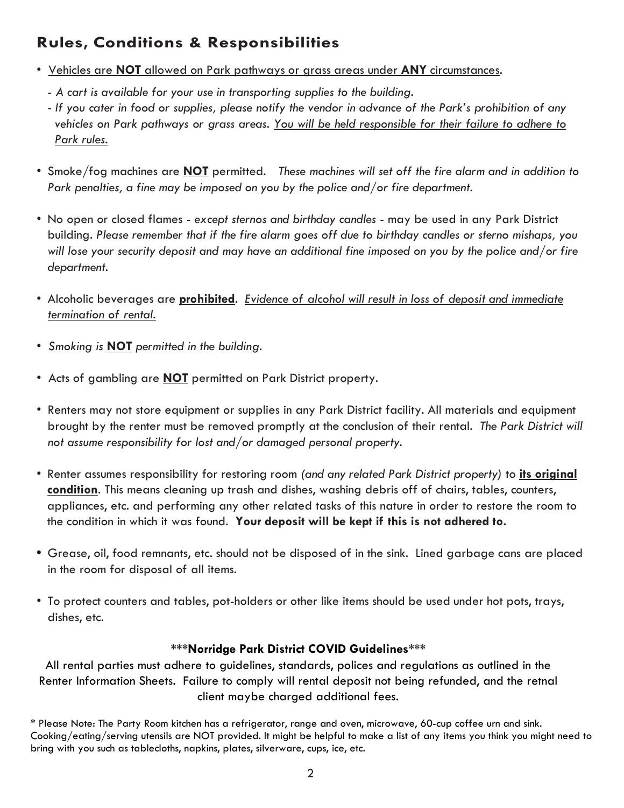## **Rules, Conditions & Responsibilities**

- Vehicles are **NOT** allowed on Park pathways or grass areas under **ANY** circumstances.
	- *A cart is available for your use in transporting supplies to the building.*
	- *If you cater in food or supplies, please notify the vendor in advance of the Park's prohibition of any vehicles on Park pathways or grass areas. You will be held responsible for their failure to adhere to Park rules.*
- Smoke/fog machines are **NOT** permitted. *These machines will set off the fire alarm and in addition to Park penalties, a fine may be imposed on you by the police and/or fire department.*
- *•* No open or closed flames *except sternos and birthday candles*  may be used in any Park District building. *Please remember that if the fire alarm goes off due to birthday candles or sterno mishaps, you will lose your security deposit and may have an additional fine imposed on you by the police and/or fire department.*
- *•* Alcoholic beverages are **prohibited**. *Evidence of alcohol will result in loss of deposit and immediate termination of rental.*
- *• Smoking is* **NOT** *permitted in the building.*
- *•* Acts of gambling are **NOT** permitted on Park District property.
- Renters may not store equipment or supplies in any Park District facility. All materials and equipment brought by the renter must be removed promptly at the conclusion of their rental. *The Park District will not assume responsibility for lost and/or damaged personal property.*
- Renter assumes responsibility for restoring room *(and any related Park District property)* to **its original condition**. This means cleaning up trash and dishes, washing debris off of chairs, tables, counters, appliances, etc. and performing any other related tasks of this nature in order to restore the room to the condition in which it was found. **Your deposit will be kept if this is not adhered to.**
- **•** Grease, oil, food remnants, etc. should not be disposed of in the sink. Lined garbage cans are placed in the room for disposal of all items.
- To protect counters and tables, pot-holders or other like items should be used under hot pots, trays, dishes, etc.

#### **\*\*\*Norridge Park District COVID Guidelines\*\*\***

All rental parties must adhere to guidelines, standards, polices and regulations as outlined in the Renter Information Sheets. Failure to comply will rental deposit not being refunded, and the retnal client maybe charged additional fees.

\* Please Note: The Party Room kitchen has a refrigerator, range and oven, microwave, 60-cup coffee urn and sink. Cooking/eating/serving utensils are NOT provided. It might be helpful to make a list of any items you think you might need to bring with you such as tablecloths, napkins, plates, silverware, cups, ice, etc.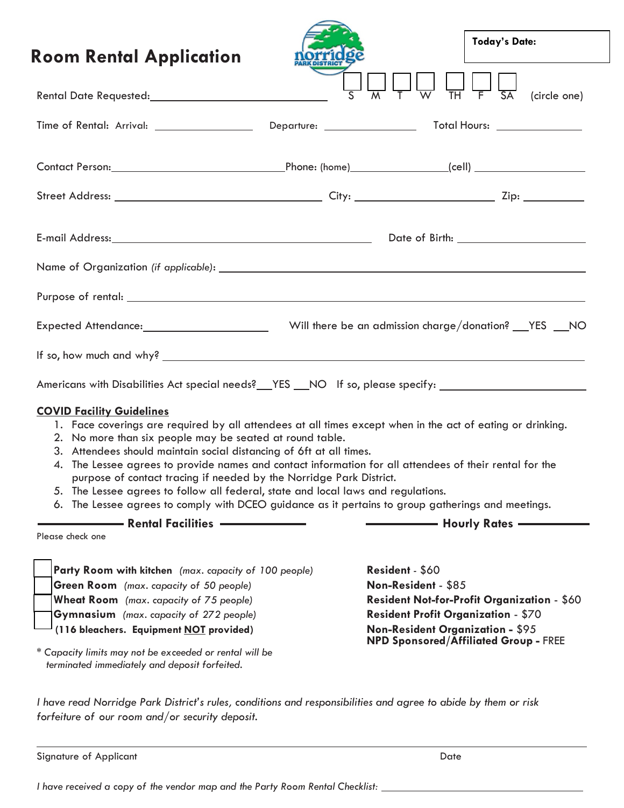| <b>Room Rental Application</b>                                                                                                                                                                                                                                                                                                                                                                                                                                                                                                                                                                                                                                 |                                        | <b>Today's Date:</b> |
|----------------------------------------------------------------------------------------------------------------------------------------------------------------------------------------------------------------------------------------------------------------------------------------------------------------------------------------------------------------------------------------------------------------------------------------------------------------------------------------------------------------------------------------------------------------------------------------------------------------------------------------------------------------|----------------------------------------|----------------------|
| Rental Date Requested: 2008 2010 2010 2010 2010 2010 2011 2012 2020 2021 2021 2022 2023                                                                                                                                                                                                                                                                                                                                                                                                                                                                                                                                                                        |                                        | (circle one)         |
|                                                                                                                                                                                                                                                                                                                                                                                                                                                                                                                                                                                                                                                                |                                        |                      |
|                                                                                                                                                                                                                                                                                                                                                                                                                                                                                                                                                                                                                                                                |                                        |                      |
|                                                                                                                                                                                                                                                                                                                                                                                                                                                                                                                                                                                                                                                                |                                        |                      |
|                                                                                                                                                                                                                                                                                                                                                                                                                                                                                                                                                                                                                                                                |                                        |                      |
|                                                                                                                                                                                                                                                                                                                                                                                                                                                                                                                                                                                                                                                                |                                        |                      |
|                                                                                                                                                                                                                                                                                                                                                                                                                                                                                                                                                                                                                                                                |                                        |                      |
|                                                                                                                                                                                                                                                                                                                                                                                                                                                                                                                                                                                                                                                                |                                        |                      |
|                                                                                                                                                                                                                                                                                                                                                                                                                                                                                                                                                                                                                                                                |                                        |                      |
| Americans with Disabilities Act special needs?__YES __NO If so, please specify: ____________________                                                                                                                                                                                                                                                                                                                                                                                                                                                                                                                                                           |                                        |                      |
| <b>COVID Facility Guidelines</b><br>1. Face coverings are required by all attendees at all times except when in the act of eating or drinking.<br>2. No more than six people may be seated at round table.<br>3. Attendees should maintain social distancing of 6ft at all times.<br>4. The Lessee agrees to provide names and contact information for all attendees of their rental for the<br>purpose of contact tracing if needed by the Norridge Park District.<br>5. The Lessee agrees to follow all federal, state and local laws and regulations.<br>6. The Lessee agrees to comply with DCEO guidance as it pertains to group gatherings and meetings. |                                        |                      |
| <b>Nentral Facilities</b> ————————<br>Please check one                                                                                                                                                                                                                                                                                                                                                                                                                                                                                                                                                                                                         |                                        |                      |
| Party Room with kitchen (max. capacity of 100 people)<br><b>Green Room</b> (max. capacity of 50 people)                                                                                                                                                                                                                                                                                                                                                                                                                                                                                                                                                        | Resident - \$60<br>Non-Resident - \$85 |                      |

*I have read Norridge Park District's rules, conditions and responsibilities and agree to abide by them or risk forfeiture of our room and/or security deposit.*

| Signature of Applicant | Date |
|------------------------|------|
|                        |      |